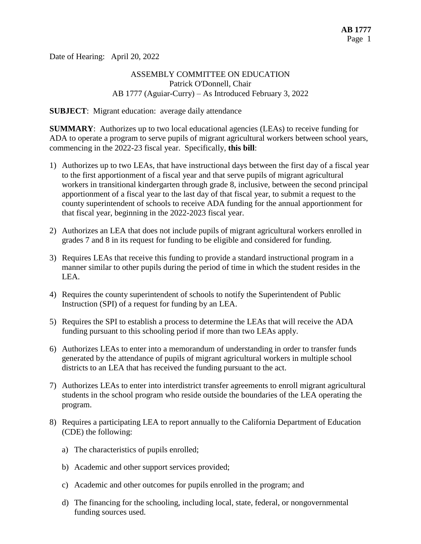Date of Hearing: April 20, 2022

### ASSEMBLY COMMITTEE ON EDUCATION Patrick O'Donnell, Chair AB 1777 (Aguiar-Curry) – As Introduced February 3, 2022

#### **SUBJECT**: Migrant education: average daily attendance

**SUMMARY**: Authorizes up to two local educational agencies (LEAs) to receive funding for ADA to operate a program to serve pupils of migrant agricultural workers between school years, commencing in the 2022-23 fiscal year. Specifically, **this bill**:

- 1) Authorizes up to two LEAs, that have instructional days between the first day of a fiscal year to the first apportionment of a fiscal year and that serve pupils of migrant agricultural workers in transitional kindergarten through grade 8, inclusive, between the second principal apportionment of a fiscal year to the last day of that fiscal year, to submit a request to the county superintendent of schools to receive ADA funding for the annual apportionment for that fiscal year, beginning in the 2022-2023 fiscal year.
- 2) Authorizes an LEA that does not include pupils of migrant agricultural workers enrolled in grades 7 and 8 in its request for funding to be eligible and considered for funding.
- 3) Requires LEAs that receive this funding to provide a standard instructional program in a manner similar to other pupils during the period of time in which the student resides in the LEA.
- 4) Requires the county superintendent of schools to notify the Superintendent of Public Instruction (SPI) of a request for funding by an LEA.
- 5) Requires the SPI to establish a process to determine the LEAs that will receive the ADA funding pursuant to this schooling period if more than two LEAs apply.
- 6) Authorizes LEAs to enter into a memorandum of understanding in order to transfer funds generated by the attendance of pupils of migrant agricultural workers in multiple school districts to an LEA that has received the funding pursuant to the act.
- 7) Authorizes LEAs to enter into interdistrict transfer agreements to enroll migrant agricultural students in the school program who reside outside the boundaries of the LEA operating the program.
- 8) Requires a participating LEA to report annually to the California Department of Education (CDE) the following:
	- a) The characteristics of pupils enrolled;
	- b) Academic and other support services provided;
	- c) Academic and other outcomes for pupils enrolled in the program; and
	- d) The financing for the schooling, including local, state, federal, or nongovernmental funding sources used.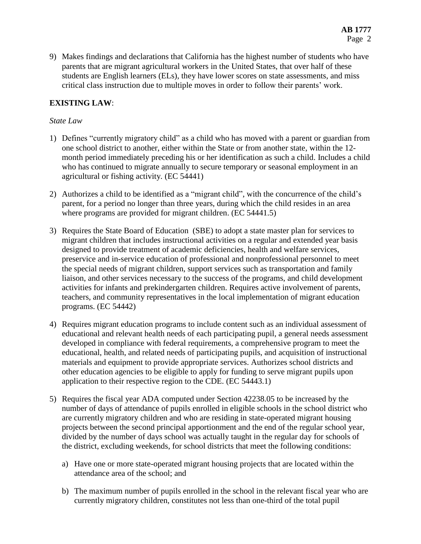9) Makes findings and declarations that California has the highest number of students who have parents that are migrant agricultural workers in the United States, that over half of these students are English learners (ELs), they have lower scores on state assessments, and miss critical class instruction due to multiple moves in order to follow their parents' work.

# **EXISTING LAW**:

### *State Law*

- 1) Defines "currently migratory child" as a child who has moved with a parent or guardian from one school district to another, either within the State or from another state, within the 12 month period immediately preceding his or her identification as such a child. Includes a child who has continued to migrate annually to secure temporary or seasonal employment in an agricultural or fishing activity. (EC 54441)
- 2) Authorizes a child to be identified as a "migrant child", with the concurrence of the child's parent, for a period no longer than three years, during which the child resides in an area where programs are provided for migrant children. (EC 54441.5)
- 3) Requires the State Board of Education (SBE) to adopt a state master plan for services to migrant children that includes instructional activities on a regular and extended year basis designed to provide treatment of academic deficiencies, health and welfare services, preservice and in-service education of professional and nonprofessional personnel to meet the special needs of migrant children, support services such as transportation and family liaison, and other services necessary to the success of the programs, and child development activities for infants and prekindergarten children. Requires active involvement of parents, teachers, and community representatives in the local implementation of migrant education programs. (EC 54442)
- 4) Requires migrant education programs to include content such as an individual assessment of educational and relevant health needs of each participating pupil, a general needs assessment developed in compliance with federal requirements, a comprehensive program to meet the educational, health, and related needs of participating pupils, and acquisition of instructional materials and equipment to provide appropriate services. Authorizes school districts and other education agencies to be eligible to apply for funding to serve migrant pupils upon application to their respective region to the CDE. (EC 54443.1)
- 5) Requires the fiscal year ADA computed under Section 42238.05 to be increased by the number of days of attendance of pupils enrolled in eligible schools in the school district who are currently migratory children and who are residing in state-operated migrant housing projects between the second principal apportionment and the end of the regular school year, divided by the number of days school was actually taught in the regular day for schools of the district, excluding weekends, for school districts that meet the following conditions:
	- a) Have one or more state-operated migrant housing projects that are located within the attendance area of the school; and
	- b) The maximum number of pupils enrolled in the school in the relevant fiscal year who are currently migratory children, constitutes not less than one-third of the total pupil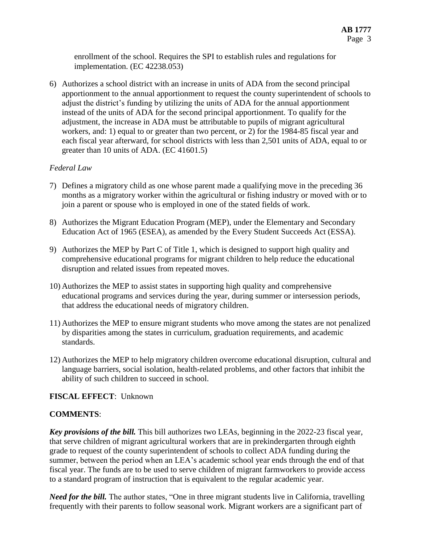enrollment of the school. Requires the SPI to establish rules and regulations for implementation. (EC 42238.053)

6) Authorizes a school district with an increase in units of ADA from the second principal apportionment to the annual apportionment to request the county superintendent of schools to adjust the district's funding by utilizing the units of ADA for the annual apportionment instead of the units of ADA for the second principal apportionment. To qualify for the adjustment, the increase in ADA must be attributable to pupils of migrant agricultural workers, and: 1) equal to or greater than two percent, or 2) for the 1984-85 fiscal year and each fiscal year afterward, for school districts with less than 2,501 units of ADA, equal to or greater than 10 units of ADA. (EC 41601.5)

## *Federal Law*

- 7) Defines a migratory child as one whose parent made a qualifying move in the preceding 36 months as a migratory worker within the agricultural or fishing industry or moved with or to join a parent or spouse who is employed in one of the stated fields of work.
- 8) Authorizes the Migrant Education Program (MEP), under the Elementary and Secondary Education Act of 1965 (ESEA), as amended by the Every Student Succeeds Act (ESSA).
- 9) Authorizes the MEP by Part C of Title 1, which is designed to support high quality and comprehensive educational programs for migrant children to help reduce the educational disruption and related issues from repeated moves.
- 10) Authorizes the MEP to assist states in supporting high quality and comprehensive educational programs and services during the year, during summer or intersession periods, that address the educational needs of migratory children.
- 11) Authorizes the MEP to ensure migrant students who move among the states are not penalized by disparities among the states in curriculum, graduation requirements, and academic standards.
- 12) Authorizes the MEP to help migratory children overcome educational disruption, cultural and language barriers, social isolation, health-related problems, and other factors that inhibit the ability of such children to succeed in school.

## **FISCAL EFFECT**: Unknown

## **COMMENTS**:

*Key provisions of the bill.* This bill authorizes two LEAs, beginning in the 2022-23 fiscal year, that serve children of migrant agricultural workers that are in prekindergarten through eighth grade to request of the county superintendent of schools to collect ADA funding during the summer, between the period when an LEA's academic school year ends through the end of that fiscal year. The funds are to be used to serve children of migrant farmworkers to provide access to a standard program of instruction that is equivalent to the regular academic year.

*Need for the bill.* The author states, "One in three migrant students live in California, travelling frequently with their parents to follow seasonal work. Migrant workers are a significant part of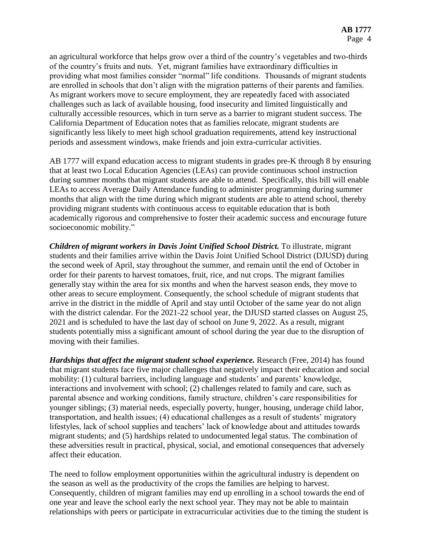an agricultural workforce that helps grow over a third of the country's vegetables and two-thirds of the country's fruits and nuts. Yet, migrant families have extraordinary difficulties in providing what most families consider "normal" life conditions. Thousands of migrant students are enrolled in schools that don't align with the migration patterns of their parents and families. As migrant workers move to secure employment, they are repeatedly faced with associated challenges such as lack of available housing, food insecurity and limited linguistically and culturally accessible resources, which in turn serve as a barrier to migrant student success. The California Department of Education notes that as families relocate, migrant students are significantly less likely to meet high school graduation requirements, attend key instructional periods and assessment windows, make friends and join extra-curricular activities.

AB 1777 will expand education access to migrant students in grades pre-K through 8 by ensuring that at least two Local Education Agencies (LEAs) can provide continuous school instruction during summer months that migrant students are able to attend. Specifically, this bill will enable LEAs to access Average Daily Attendance funding to administer programming during summer months that align with the time during which migrant students are able to attend school, thereby providing migrant students with continuous access to equitable education that is both academically rigorous and comprehensive to foster their academic success and encourage future socioeconomic mobility."

*Children of migrant workers in Davis Joint Unified School District.* To illustrate, migrant students and their families arrive within the Davis Joint Unified School District (DJUSD) during the second week of April, stay throughout the summer, and remain until the end of October in order for their parents to harvest tomatoes, fruit, rice, and nut crops. The migrant families generally stay within the area for six months and when the harvest season ends, they move to other areas to secure employment. Consequently, the school schedule of migrant students that arrive in the district in the middle of April and stay until October of the same year do not align with the district calendar. For the 2021-22 school year, the DJUSD started classes on August 25, 2021 and is scheduled to have the last day of school on June 9, 2022. As a result, migrant students potentially miss a significant amount of school during the year due to the disruption of moving with their families.

*Hardships that affect the migrant student school experience.* Research (Free, 2014) has found that migrant students face five major challenges that negatively impact their education and social mobility: (1) cultural barriers, including language and students' and parents' knowledge, interactions and involvement with school; (2) challenges related to family and care, such as parental absence and working conditions, family structure, children's care responsibilities for younger siblings; (3) material needs, especially poverty, hunger, housing, underage child labor, transportation, and health issues; (4) educational challenges as a result of students' migratory lifestyles, lack of school supplies and teachers' lack of knowledge about and attitudes towards migrant students; and (5) hardships related to undocumented legal status. The combination of these adversities result in practical, physical, social, and emotional consequences that adversely affect their education.

The need to follow employment opportunities within the agricultural industry is dependent on the season as well as the productivity of the crops the families are helping to harvest. Consequently, children of migrant families may end up enrolling in a school towards the end of one year and leave the school early the next school year. They may not be able to maintain relationships with peers or participate in extracurricular activities due to the timing the student is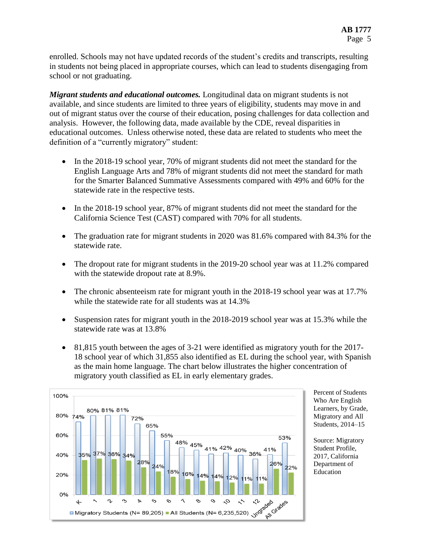enrolled. Schools may not have updated records of the student's credits and transcripts, resulting in students not being placed in appropriate courses, which can lead to students disengaging from school or not graduating.

*Migrant students and educational outcomes.* Longitudinal data on migrant students is not available, and since students are limited to three years of eligibility, students may move in and out of migrant status over the course of their education, posing challenges for data collection and analysis. However, the following data, made available by the CDE, reveal disparities in educational outcomes. Unless otherwise noted, these data are related to students who meet the definition of a "currently migratory" student:

- In the 2018-19 school year, 70% of migrant students did not meet the standard for the English Language Arts and 78% of migrant students did not meet the standard for math for the Smarter Balanced Summative Assessments compared with 49% and 60% for the statewide rate in the respective tests.
- In the 2018-19 school year, 87% of migrant students did not meet the standard for the California Science Test (CAST) compared with 70% for all students.
- The graduation rate for migrant students in 2020 was 81.6% compared with 84.3% for the statewide rate.
- The dropout rate for migrant students in the 2019-20 school year was at 11.2% compared with the statewide dropout rate at 8.9%.
- The chronic absenteeism rate for migrant youth in the 2018-19 school year was at 17.7% while the statewide rate for all students was at 14.3%
- Suspension rates for migrant youth in the 2018-2019 school year was at 15.3% while the statewide rate was at 13.8%
- 81,815 youth between the ages of 3-21 were identified as migratory youth for the 2017-18 school year of which 31,855 also identified as EL during the school year, with Spanish as the main home language. The chart below illustrates the higher concentration of migratory youth classified as EL in early elementary grades.



Percent of Students Who Are English Learners, by Grade, Migratory and All Students, 2014–15

Source: Migratory Student Profile, 2017, California Department of Education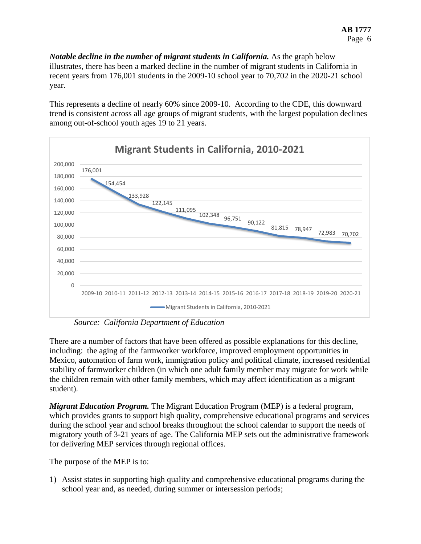*Notable decline in the number of migrant students in California.* As the graph below illustrates, there has been a marked decline in the number of migrant students in California in recent years from 176,001 students in the 2009-10 school year to 70,702 in the 2020-21 school year.

This represents a decline of nearly 60% since 2009-10. According to the CDE, this downward trend is consistent across all age groups of migrant students, with the largest population declines among out-of-school youth ages 19 to 21 years.



*Source: California Department of Education*

There are a number of factors that have been offered as possible explanations for this decline, including: the aging of the farmworker workforce, improved employment opportunities in Mexico, automation of farm work, immigration policy and political climate, increased residential stability of farmworker children (in which one adult family member may migrate for work while the children remain with other family members, which may affect identification as a migrant student).

*Migrant Education Program.* The Migrant Education Program (MEP) is a federal program, which provides grants to support high quality, comprehensive educational programs and services during the school year and school breaks throughout the school calendar to support the needs of migratory youth of 3-21 years of age. The California MEP sets out the administrative framework for delivering MEP services through regional offices.

The purpose of the MEP is to:

1) Assist states in supporting high quality and comprehensive educational programs during the school year and, as needed, during summer or intersession periods;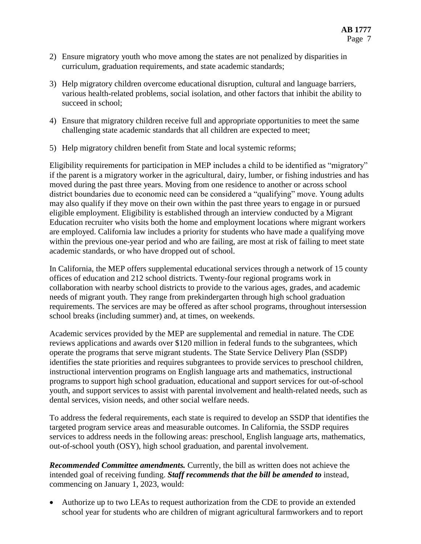- 2) Ensure migratory youth who move among the states are not penalized by disparities in curriculum, graduation requirements, and state academic standards;
- 3) Help migratory children overcome educational disruption, cultural and language barriers, various health-related problems, social isolation, and other factors that inhibit the ability to succeed in school;
- 4) Ensure that migratory children receive full and appropriate opportunities to meet the same challenging state academic standards that all children are expected to meet;
- 5) Help migratory children benefit from State and local systemic reforms;

Eligibility requirements for participation in MEP includes a child to be identified as "migratory" if the parent is a migratory worker in the agricultural, dairy, lumber, or fishing industries and has moved during the past three years. Moving from one residence to another or across school district boundaries due to economic need can be considered a "qualifying" move. Young adults may also qualify if they move on their own within the past three years to engage in or pursued eligible employment. Eligibility is established through an interview conducted by a Migrant Education recruiter who visits both the home and employment locations where migrant workers are employed. California law includes a priority for students who have made a qualifying move within the previous one-year period and who are failing, are most at risk of failing to meet state academic standards, or who have dropped out of school.

In California, the MEP offers supplemental educational services through a network of 15 county offices of education and 212 school districts. Twenty-four regional programs work in collaboration with nearby school districts to provide to the various ages, grades, and academic needs of migrant youth. They range from prekindergarten through high school graduation requirements. The services are may be offered as after school programs, throughout intersession school breaks (including summer) and, at times, on weekends.

Academic services provided by the MEP are supplemental and remedial in nature. The CDE reviews applications and awards over \$120 million in federal funds to the subgrantees, which operate the programs that serve migrant students. The State Service Delivery Plan (SSDP) identifies the state priorities and requires subgrantees to provide services to preschool children, instructional intervention programs on English language arts and mathematics, instructional programs to support high school graduation, educational and support services for out-of-school youth, and support services to assist with parental involvement and health-related needs, such as dental services, vision needs, and other social welfare needs.

To address the federal requirements, each state is required to develop an SSDP that identifies the targeted program service areas and measurable outcomes. In California, the SSDP requires services to address needs in the following areas: preschool, English language arts, mathematics, out-of-school youth (OSY), high school graduation, and parental involvement.

*Recommended Committee amendments.* Currently, the bill as written does not achieve the intended goal of receiving funding. *Staff recommends that the bill be amended to* instead, commencing on January 1, 2023, would:

 Authorize up to two LEAs to request authorization from the CDE to provide an extended school year for students who are children of migrant agricultural farmworkers and to report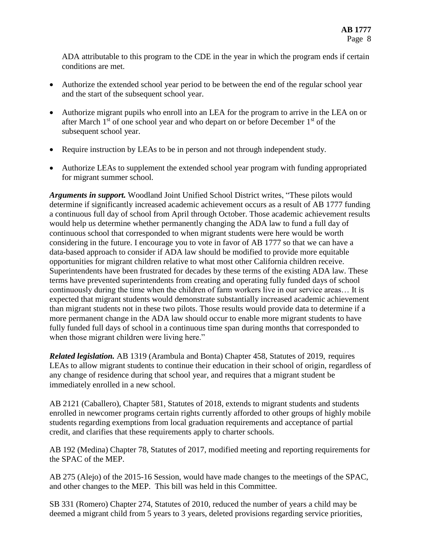ADA attributable to this program to the CDE in the year in which the program ends if certain conditions are met.

- Authorize the extended school year period to be between the end of the regular school year and the start of the subsequent school year.
- Authorize migrant pupils who enroll into an LEA for the program to arrive in the LEA on or after March  $1<sup>st</sup>$  of one school year and who depart on or before December  $1<sup>st</sup>$  of the subsequent school year.
- Require instruction by LEAs to be in person and not through independent study.
- Authorize LEAs to supplement the extended school year program with funding appropriated for migrant summer school.

*Arguments in support.* Woodland Joint Unified School District writes, "These pilots would determine if significantly increased academic achievement occurs as a result of AB 1777 funding a continuous full day of school from April through October. Those academic achievement results would help us determine whether permanently changing the ADA law to fund a full day of continuous school that corresponded to when migrant students were here would be worth considering in the future. I encourage you to vote in favor of AB 1777 so that we can have a data-based approach to consider if ADA law should be modified to provide more equitable opportunities for migrant children relative to what most other California children receive. Superintendents have been frustrated for decades by these terms of the existing ADA law. These terms have prevented superintendents from creating and operating fully funded days of school continuously during the time when the children of farm workers live in our service areas… It is expected that migrant students would demonstrate substantially increased academic achievement than migrant students not in these two pilots. Those results would provide data to determine if a more permanent change in the ADA law should occur to enable more migrant students to have fully funded full days of school in a continuous time span during months that corresponded to when those migrant children were living here."

*Related legislation.* AB 1319 (Arambula and Bonta) Chapter 458, Statutes of 2019, requires LEAs to allow migrant students to continue their education in their school of origin, regardless of any change of residence during that school year, and requires that a migrant student be immediately enrolled in a new school.

AB 2121 (Caballero), Chapter 581, Statutes of 2018, extends to migrant students and students enrolled in newcomer programs certain rights currently afforded to other groups of highly mobile students regarding exemptions from local graduation requirements and acceptance of partial credit, and clarifies that these requirements apply to charter schools.

AB 192 (Medina) Chapter 78, Statutes of 2017, modified meeting and reporting requirements for the SPAC of the MEP.

AB 275 (Alejo) of the 2015-16 Session, would have made changes to the meetings of the SPAC, and other changes to the MEP. This bill was held in this Committee.

SB 331 (Romero) Chapter 274, Statutes of 2010, reduced the number of years a child may be deemed a migrant child from 5 years to 3 years, deleted provisions regarding service priorities,